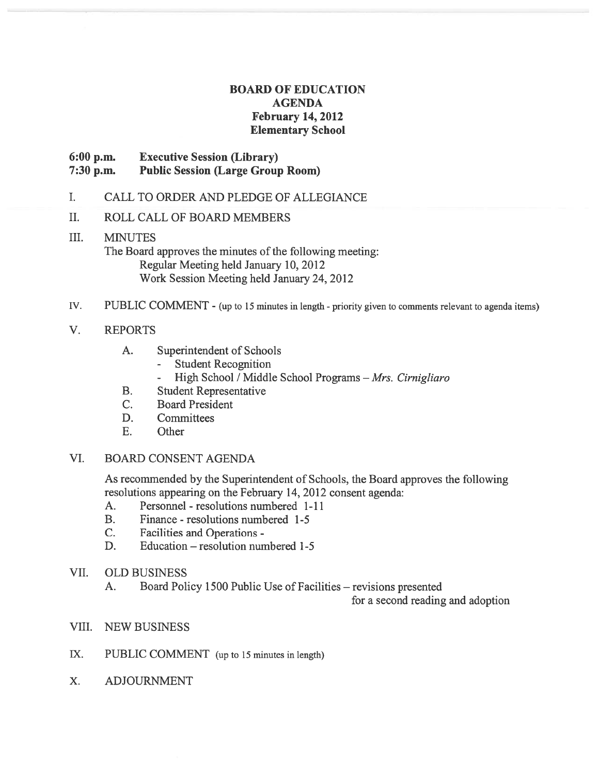# BOARD OF EDUCATION AGENDA February 14, 2012 Elementary School

# 6:00 p.m. Executive Session (Library) 7:30 p.m. Public Session (Large Group Room)

- I. CALL TO ORDER AND PLEDGE OF ALLEGIANCE
- II. ROLL CALL OF BOARD MEMBERS

# III. MINUTES The Board approves the minutes of the following meeting: Regular Meeting held January 10, 2012 Work Session Meeting held January 24, 2012

IV. PUBLIC COMMENT - (up to <sup>15</sup> minutes in length - priority <sup>g</sup>iven to comments relevant to agenda items)

# V. REPORTS

- A. Superintendent of Schools
	- Student Recognition
	- High School / Middle School Programs Mrs. Cirnigliaro
- B. Student Representative
- C. Board President
- D. Committees
- E. Other

# VI. BOARD CONSENT AGENDA

As recommended by the Superintendent of Schools, the Board approves the following resolutions appearing on the February 14, 2012 consent agenda:

- A. Personnel resolutions numbered 1-11
- B. Finance resolutions numbered 1-5
- C. Facilities and Operations -
- D. Education resolution numbered 1-5
- VII. OLD BUSINESS
	- A. Board Policy 1500 Public Use of Facilities revisions presented

for <sup>a</sup> second reading and adoption

- VIII. NEW BUSINESS
- IX. PUBLIC COMMENT (up to <sup>15</sup> minutes in length)
- X. ADJOURNMENT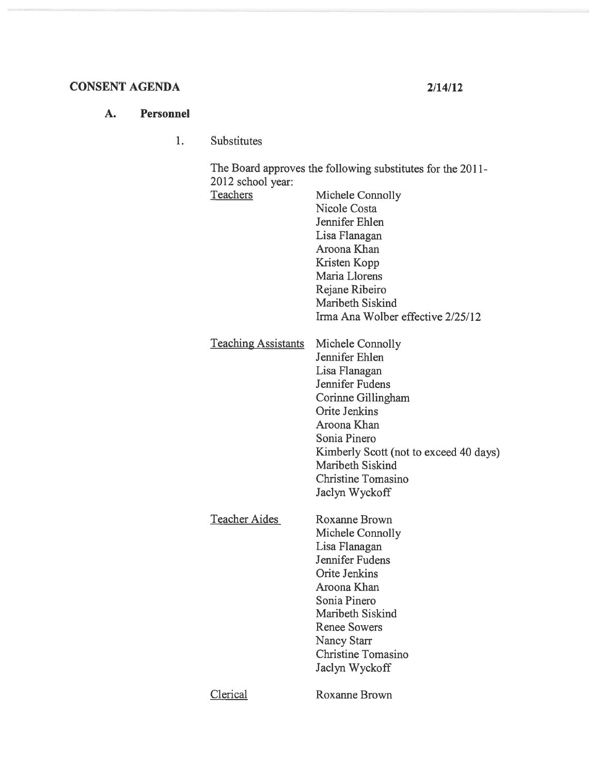# CONSENT AGENDA 2/14/12

### A. Personnel

 $1.$ Substitutes

> The Board approves the following substitutes for the 2011- 2012 school year:

| Teachers                   | Michele Connolly<br>Nicole Costa<br>Jennifer Ehlen<br>Lisa Flanagan<br>Aroona Khan<br>Kristen Kopp<br>Maria Llorens<br>Rejane Ribeiro<br>Maribeth Siskind<br>Irma Ana Wolber effective 2/25/12                                                                   |
|----------------------------|------------------------------------------------------------------------------------------------------------------------------------------------------------------------------------------------------------------------------------------------------------------|
| <b>Teaching Assistants</b> | Michele Connolly<br>Jennifer Ehlen<br>Lisa Flanagan<br>Jennifer Fudens<br>Corinne Gillingham<br><b>Orite Jenkins</b><br>Aroona Khan<br>Sonia Pinero<br>Kimberly Scott (not to exceed 40 days)<br>Maribeth Siskind<br><b>Christine Tomasino</b><br>Jaclyn Wyckoff |
| <b>Teacher Aides</b>       | <b>Roxanne Brown</b><br>Michele Connolly<br>Lisa Flanagan<br>Jennifer Fudens<br><b>Orite Jenkins</b><br>Aroona Khan<br>Sonia Pinero<br>Maribeth Siskind<br><b>Renee Sowers</b><br>Nancy Starr<br><b>Christine Tomasino</b><br>Jaclyn Wyckoff                     |
| <b>Clerical</b>            | <b>Roxanne Brown</b>                                                                                                                                                                                                                                             |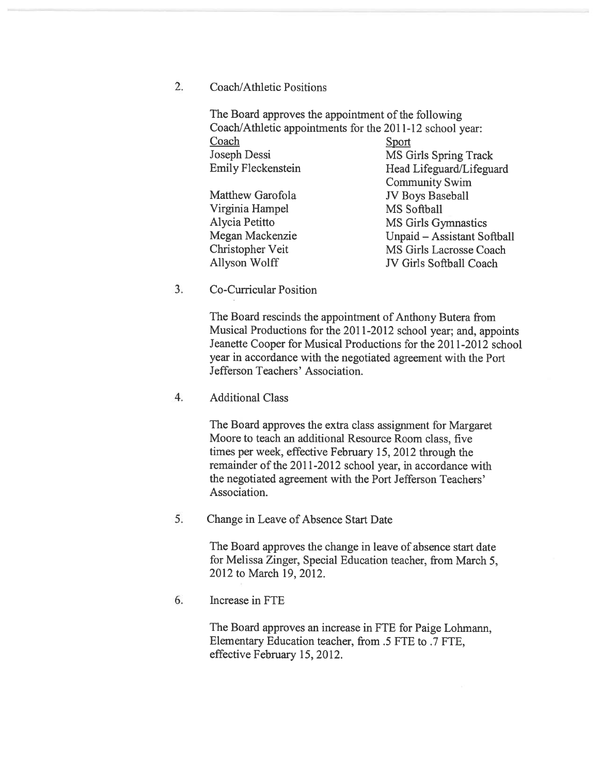# 2. Coach/Athletic Positions

The Board approves the appointment of the following Coach/Athletic appointments for the 2011-12 school year: Coach Sport Joseph Dessi MS Girls Spring Track Emily Fleckenstein Head Lifeguard/Lifeguard Community Swim Matthew Garofola **JV** Boys Baseball Virginia Hampel MS Softball Alycia Petitto MS Girls Gymnastics Megan Mackenzie Unpaid — Assistant Softball Christopher Veit MS Girls Lacrosse Coach Allyson Wolff JV Girls Softball Coach

### 3. Co-Curricular Position

The Board rescinds the appointment of Anthony Butera from Musical Productions for the 2011-2012 school year; and, appoints Jeanette Cooper for Musical Productions for the 2011-2012 school year in accordance with the negotiated agreemen<sup>t</sup> with the Port Jefferson Teachers' Association.

#### 4. Additional Class

The Board approves the extra class assignment for Margaret Moore to teach an additional Resource Room class, five times per week, effective February 15, 2012 through the remainder of the 2011-2012 school year, in accordance with the negotiated agreemen<sup>t</sup> with the Port Jefferson Teachers' Association.

5. Change in Leave of Absence Start Date

The Board approves the change in leave of absence start date for Melissa Zinger, Special Education teacher, from March 5, 2012 to March 19, 2012.

#### 6. Increase in FTE

The Board approves an increase in FTE for Paige Lohmann, Elementary Education teacher, from .5 FTE to .7 FTE, effective February 15, 2012.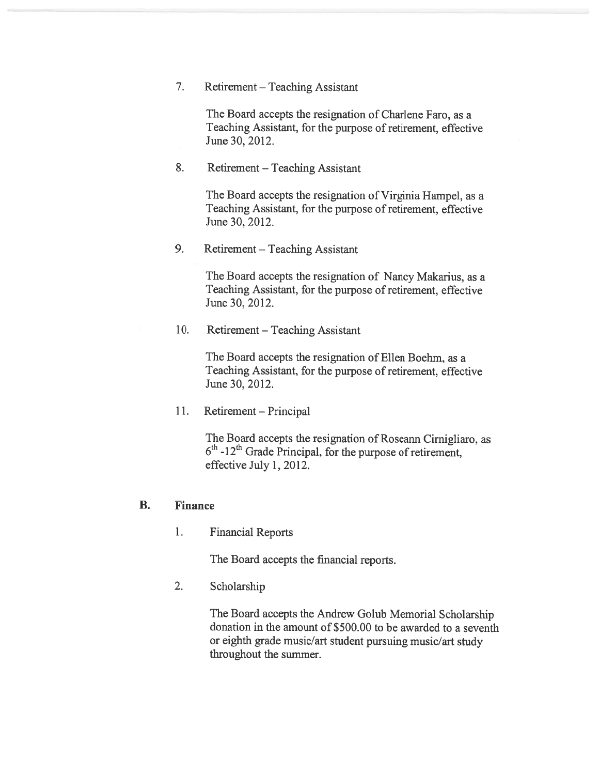7. Retirement — Teaching Assistant

The Board accepts the resignation of Charlene Faro, as <sup>a</sup> Teaching Assistant, for the purpose of retirement, effective June 30, 2012.

8. Retirement — Teaching Assistant

The Board accepts the resignation of Virginia Hampel, as <sup>a</sup> Teaching Assistant, for the purpose of retirement, effective June 30, 2012.

9. Retirement — Teaching Assistant

The Board accepts the resignation of Nancy Makarius, as <sup>a</sup> Teaching Assistant, for the purpose of retirement, effective June 30, 2012.

10. Retirement — Teaching Assistant

The Board accepts the resignation of Ellen Boehm, as <sup>a</sup> Teaching Assistant, for the purpose of retirement, effective June 30, 2012.

11. Retirement — Principal

The Board accepts the resignation of Roseann Cirnigliaro, as  $6<sup>th</sup>$  -12<sup>th</sup> Grade Principal, for the purpose of retirement, effective July 1, 2012.

#### B. Finance

1. Financial Reports

The Board accepts the financial reports.

2. Scholarship

The Board accepts the Andrew Golub Memorial Scholarship donation in the amount of \$500.00 to be awarded to <sup>a</sup> seventh or eighth grade music/art student pursuing music/art study throughout the summer.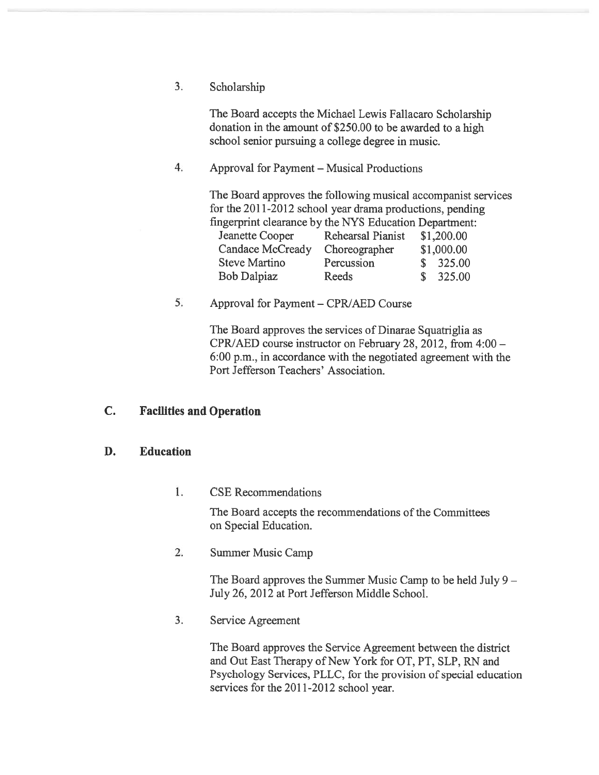3. Scholarship

The Board accepts the Michael Lewis Fallacaro Scholarship donation in the amount of \$250.00 to be awarded to <sup>a</sup> high school senior pursuing <sup>a</sup> college degree in music.

4. Approval for Payment — Musical Productions

The Board approves the following musical accompanist services for the 2011-2012 school year drama productions, pending fingerprint clearance by the NYS Education Department:

| Rehearsal Pianist | \$1,200.00 |
|-------------------|------------|
| Choreographer     | \$1,000.00 |
| Percussion        | \$325.00   |
| Reeds             | \$325.00   |
|                   |            |

5. Approval for Payment – CPR/AED Course

The Board approves the services of Dinarae Squatriglia as CPR]AED course instructor on February 28, 2012, from 4:00 — 6:00 p.m., in accordance with the negotiated agreemen<sup>t</sup> with the Port Jefferson Teachers' Association.

# C. Facilities and Operation

#### D. Education

1. CSE Recommendations

The Board accepts the recommendations of the Committees on Special Education.

2. Summer Music Camp

The Board approves the Summer Music Camp to be held July 9 — July 26, 2012 at Port Jefferson Middle School.

3. Service Agreement

The Board approves the Service Agreement between the district and Out East Therapy of New York for OT, PT, SLP, RN and Psychology Services, PLLC, for the provision of special education services for the 2011-2012 school year.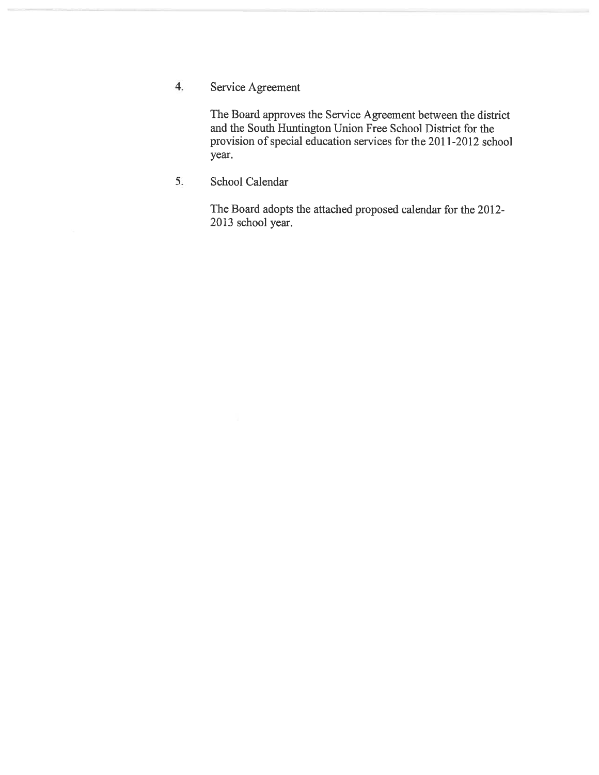4. Service Agreement

The Board approves the Service Agreement between the district and the South Huntington Union Free School District for the provision of special education services for the 2011-2012 school year.

5. School Calendar

The Board adopts the attached proposed calendar for the 2012- 2013 school year.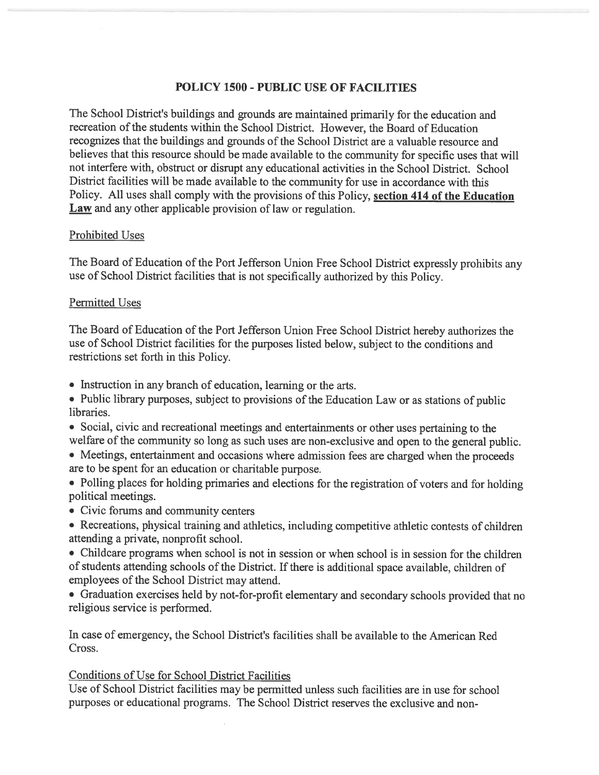# POLICY 1500 - PUBLIC USE OF FACILITIES

The School District's buildings and grounds are maintained primarily for the education and recreation of the students within the School District. However, the Board of Education recognizes that the buildings and grounds of the School District are a valuable resource and believes that this resource should be made available to the community for specific uses that will not interfere with, obstruct or disrupt any educational activities in the School District. School District facilities will be made available to the community for use in accordance with this Policy. All uses shall comply with the provisions of this Policy, section 414 of the Education Law and any other applicable provision of law or regulation.

# Prohibited Uses

The Board of Education of the Port Jefferson Union Free School District expressly prohibits any use of School District facilities that is not specifically authorized by this Policy.

# Permitted Uses

The Board of Education of the Port Jefferson Union Free School District hereby authorizes the use of School District facilities for the purposes listed below, subject to the conditions and restrictions set forth in this Policy.

- Instruction in any branch of education, learning or the arts.
- Public library purposes, subject to provisions of the Education Law or as stations of public libraries.
- Social, civic and recreational meetings and entertainments or other uses pertaining to the welfare of the community so long as such uses are non-exclusive and open to the genera<sup>l</sup> public.
- Meetings, entertainment and occasions where admission fees are charged when the proceeds are to be spen<sup>t</sup> for an education or charitable purpose.
- Polling <sup>p</sup>laces for holding primaries and elections for the registration of voters and for holding political meetings.
- Civic forums and community centers
- Recreations, <sup>p</sup>hysical training and athletics, including competitive athletic contests of children attending <sup>a</sup> private, nonprofit school.
- Childcare programs when school is not in session or when school is in session for the children of students attending schools of the District. If there is additional space available, children of employees of the School District may attend.
- Graduation exercises held by not-for-profit elementary and secondary schools provided that no religious service is performed.

In case of emergency, the School District's facilities shall be available to the American Red Cross.

# Conditions of Use for School District Facilities

Use of School District facilities may be permitted unless such facilities are in use for school purposes or educational programs. The School District reserves the exclusive and non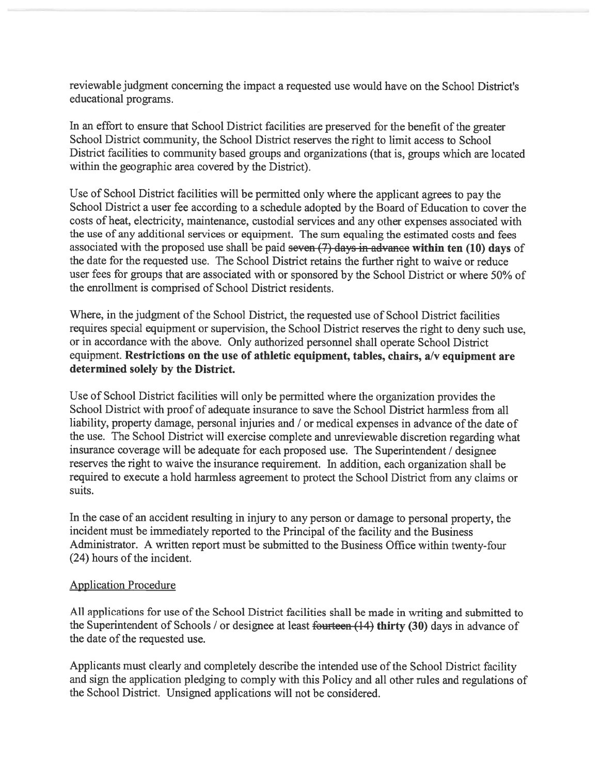reviewable judgment concerning the impact a requested use would have on the School District's educational programs.

In an effort to ensure that School District facilities are preserve<sup>d</sup> for the benefit of the greater School District community, the School District reserves the right to limit access to School District facilities to community based groups and organizations (that is, groups which are located within the geographic area covered by the District).

Use of School District facilities will be permitted only where the applicant agrees to pay the School District a user fee according to a schedule adopted by the Board of Education to cover the costs of heat, electricity, maintenance, custodial services and any other expenses associated with the use of any additional services or equipment. The sum equaling the estimated costs and fees associated with the propose<sup>d</sup> use shall be paid seven (7) days in advance within ten (10) days of the date for the requested use. The School District retains the further right to waive or reduce user fees for groups that are associated with or sponsored by the School District or where 50% of the enrollment is comprised of School District residents.

Where, in the judgment of the School District, the requested use of School District facilities requires special equipment or supervision, the School District reserves the right to deny such use, or in accordance with the above. Only authorized personne<sup>l</sup> shall operate School District equipment. Restrictions on the use of athletic equipment, tables, chairs, a/v equipment are determined solely by the District.

Use of School District facilities will only be permitted where the organization provides the School District with proof of adequate insurance to save the School District harmless from all liability, property damage, personal injuries and / or medical expenses in advance of the date of the use. The School District will exercise complete and unreviewable discretion regarding what insurance coverage will be adequate for each propose<sup>d</sup> use. The Superintendent / designee reserves the right to waive the insurance requirement. In addition, each organization shall be required to execute <sup>a</sup> hold harmless agreemen<sup>t</sup> to protect the School District from any claims or suits.

In the case of an accident resulting in injury to any person or damage to persona<sup>l</sup> property, the incident must be immediately reported to the Principal of the facility and the Business Administrator. <sup>A</sup> written repor<sup>t</sup> must be submitted to the Business Office within twenty-four (24) hours of the incident.

# Application Procedure

All applications for use of the School District facilities shall be made in writing and submitted to the Superintendent of Schools / or designee at least fourteen (14) thirty (30) days in advance of the date of the requested use.

Applicants must clearly and completely describe the intended use of the School District facility and sign the application <sup>p</sup>ledging to comply with this Policy and all other rules and regulations of the School District. Unsigned applications will not be considered.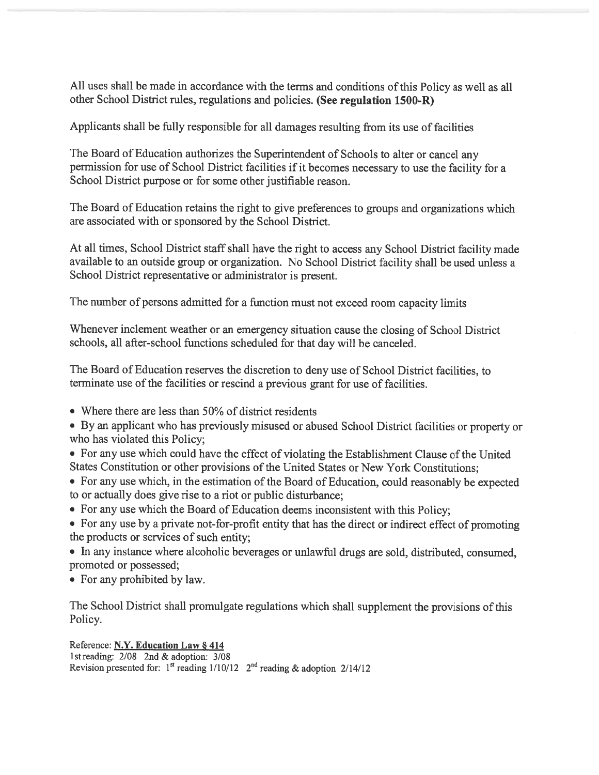All uses shall be made in accordance with the terms and conditions of this Policy as well as all other School District rules, regulations and policies. (See regulation 1500-R)

Applicants shall be fuily responsible for all damages resulting from its use of facilities

The Board of Education authorizes the Superintendent of Schools to alter or cancel any permission for use of School District facilities if it becomes necessary to use the facility for a School District purpose or for some other justifiable reason.

The Board of Education retains the right to <sup>g</sup>ive preferences to groups and organizations which are associated with or sponsored by the School District.

At all times, School District staff shall have the right to access any School District facility made available to an outside group or organization. No School District facility shall be used unless <sup>a</sup> School District representative or administrator is present.

The number of persons admitted for <sup>a</sup> function must not exceed room capacity limits

Whenever inclement weather or an emergency situation cause the closing of School District schools, all after-school functions scheduled for that day will be canceled.

The Board of Education reserves the discretion to deny use of School District facilities, to terminate use of the facilities or rescind a previous grant for use of facilities.

- Where there are less than 50% of district residents
- By an applicant who has previously misused or abused School District facilities or property or who has violated this Policy;
- For any use which could have the effect of violating the Establishment Clause of the United States Constitution or other provisions of the United States or New York Constitutions;
- For any use which, in the estimation of the Board of Education, could reasonably be expected to or actually does give rise to <sup>a</sup> riot or public disturbance;
- For any use which the Board of Education deems inconsistent with this Policy;
- For any use by <sup>a</sup> private not-for-profit entity that has the direct or indirect effect of promoting the products or services of such entity;
- In any instance where alcoholic beverages or unlawful drugs are sold, distributed, consumed, promoted or possessed;
- For any prohibited by law.

The School District shall promulgate regulations which shall supplement the provisions of this Policy.

Reference: N.Y. Education Law § 414 1st reading: 2/08 2nd & adoption: 3/08 Revision presented for: 1<sup>st</sup> reading  $1/10/12$  2<sup>nd</sup> reading & adoption 2/14/12